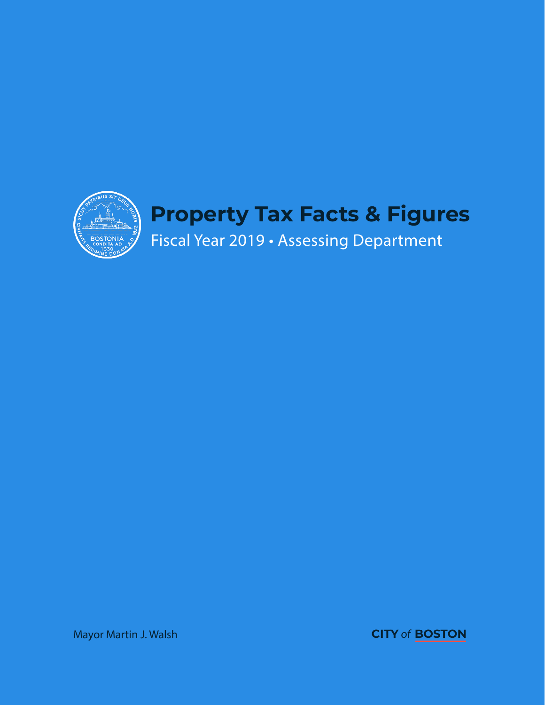

Mayor Martin J. Walsh **CITY** of**BOSTON**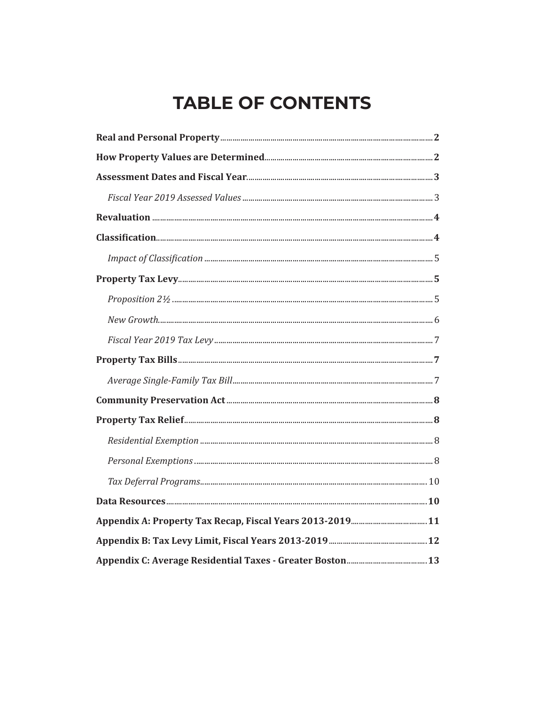# **TABLE OF CONTENTS**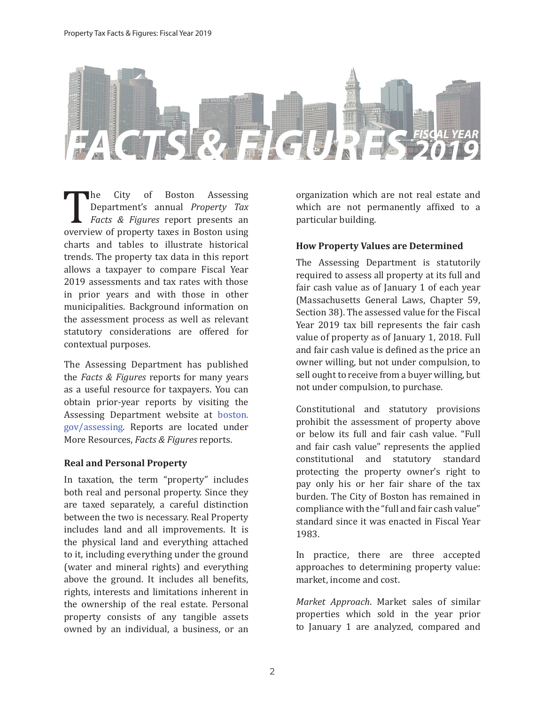

The City of Boston Assessing<br>Department's annual *Property Tax*<br>Facts & Figures report presents an<br>overview of property taxes in Boston using<br>charts and tables to illustrate historical Department's annual *Property Tax Facts & Figures* report presents an overview of property taxes in Boston using charts and tables to illustrate historical trends. The property tax data in this report allows a taxpayer to compare Fiscal Year 2019 assessments and tax rates with those in prior years and with those in other municipalities. Background information on the assessment process as well as relevant statutory considerations are offered for contextual purposes.

The Assessing Department has published the *Facts & Figures* reports for many years as a useful resource for taxpayers. You can obtain prior-year reports by visiting the Assessing Department website at boston. gov/assessing. Reports are located under More Resources, *Facts & Figures* reports.

#### **Real and Personal Property**

In taxation, the term "property" includes both real and personal property. Since they are taxed separately, a careful distinction between the two is necessary. Real Property includes land and all improvements. It is the physical land and everything attached to it, including everything under the ground (water and mineral rights) and everything above the ground. It includes all benefits, rights, interests and limitations inherent in the ownership of the real estate. Personal property consists of any tangible assets owned by an individual, a business, or an organization which are not real estate and which are not permanently affixed to a particular building.

## **How Property Values are Determined**

The Assessing Department is statutorily required to assess all property at its full and fair cash value as of January 1 of each year (Massachusetts General Laws, Chapter 59, Section 38). The assessed value for the Fiscal Year 2019 tax bill represents the fair cash value of property as of January 1, 2018. Full and fair cash value is defined as the price an owner willing, but not under compulsion, to sell ought to receive from a buyer willing, but not under compulsion, to purchase.

Constitutional and statutory provisions prohibit the assessment of property above or below its full and fair cash value. "Full and fair cash value" represents the applied constitutional and statutory standard protecting the property owner's right to pay only his or her fair share of the tax burden. The City of Boston has remained in compliance with the "full and fair cash value" standard since it was enacted in Fiscal Year 1983.

In practice, there are three accepted approaches to determining property value: market, income and cost.

*Market Approach*. Market sales of similar properties which sold in the year prior to January 1 are analyzed, compared and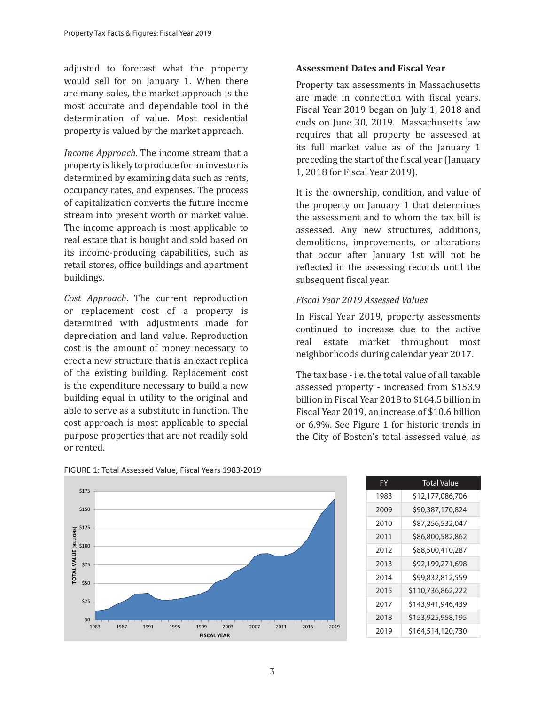adjusted to forecast what the property would sell for on January 1. When there are many sales, the market approach is the most accurate and dependable tool in the determination of value. Most residential property is valued by the market approach.

*Income Approach*. The income stream that a property is likely to produce for an investor is determined by examining data such as rents, occupancy rates, and expenses. The process of capitalization converts the future income stream into present worth or market value. The income approach is most applicable to real estate that is bought and sold based on its income-producing capabilities, such as retail stores, office buildings and apartment buildings.

*Cost Approach*. The current reproduction or replacement cost of a property is determined with adjustments made for depreciation and land value. Reproduction cost is the amount of money necessary to erect a new structure that is an exact replica of the existing building. Replacement cost is the expenditure necessary to build a new building equal in utility to the original and able to serve as a substitute in function. The cost approach is most applicable to special purpose properties that are not readily sold or rented.

#### **Assessment Dates and Fiscal Year**

Property tax assessments in Massachusetts are made in connection with fiscal years. Fiscal Year 2019 began on July 1, 2018 and ends on June 30, 2019. Massachusetts law requires that all property be assessed at its full market value as of the January 1 preceding the start of the fiscal year (January 1, 2018 for Fiscal Year 2019).

It is the ownership, condition, and value of the property on January 1 that determines the assessment and to whom the tax bill is assessed. Any new structures, additions, demolitions, improvements, or alterations that occur after January 1st will not be reflected in the assessing records until the subsequent fiscal year.

## *Fiscal Year 2019 Assessed Values*

In Fiscal Year 2019, property assessments continued to increase due to the active real estate market throughout most neighborhoods during calendar year 2017.

The tax base - i.e. the total value of all taxable assessed property - increased from \$153.9 billion in Fiscal Year 2018 to \$164.5 billion in Fiscal Year 2019, an increase of \$10.6 billion or 6.9%. See Figure 1 for historic trends in the City of Boston's total assessed value, as



| FIGURE 1: Total Assessed Value, Fiscal Years 1983-2019 |  |
|--------------------------------------------------------|--|
|--------------------------------------------------------|--|

| FY   | <b>Total Value</b> |
|------|--------------------|
| 1983 | \$12,177,086,706   |
| 2009 | \$90,387,170,824   |
| 2010 | \$87,256,532,047   |
| 2011 | \$86,800,582,862   |
| 2012 | \$88,500,410,287   |
| 2013 | \$92,199,271,698   |
| 2014 | \$99,832,812,559   |
| 2015 | \$110,736,862,222  |
| 2017 | \$143,941,946,439  |
| 2018 | \$153,925,958,195  |
| 2019 | \$164.514.120.730  |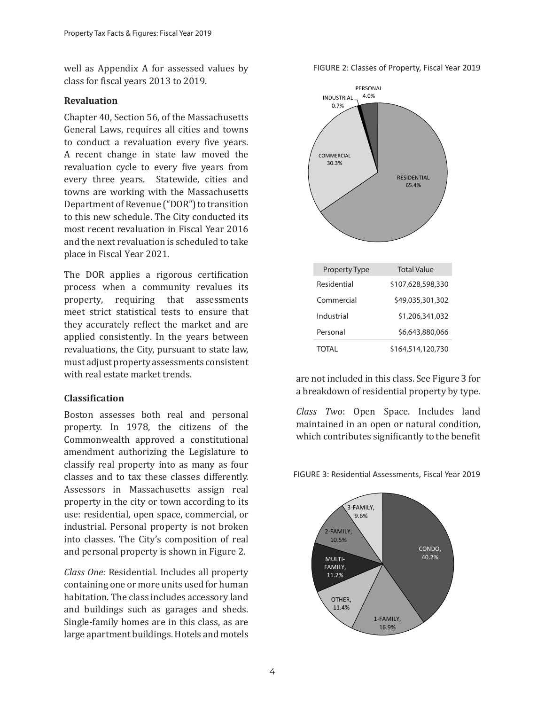well as Appendix A for assessed values by class for fiscal years 2013 to 2019.

#### **Revaluation**

Chapter 40, Section 56, of the Massachusetts General Laws, requires all cities and towns to conduct a revaluation every five years. A recent change in state law moved the revaluation cycle to every five years from every three years. Statewide, cities and towns are working with the Massachusetts Department of Revenue ("DOR") to transition to this new schedule. The City conducted its most recent revaluation in Fiscal Year 2016 and the next revaluation is scheduled to take place in Fiscal Year 2021.

The DOR applies a rigorous certification process when a community revalues its property, requiring that assessments meet strict statistical tests to ensure that they accurately reflect the market and are applied consistently. In the years between revaluations, the City, pursuant to state law, must adjust property assessments consistent with real estate market trends.

#### **Classification**

Boston assesses both real and personal property. In 1978, the citizens of the Commonwealth approved a constitutional amendment authorizing the Legislature to classify real property into as many as four classes and to tax these classes differently. Assessors in Massachusetts assign real property in the city or town according to its use: residential, open space, commercial, or industrial. Personal property is not broken into classes. The City's composition of real and personal property is shown in Figure 2.

*Class One:* Residential. Includes all property containing one or more units used for human habitation. The class includes accessory land and buildings such as garages and sheds. Single-family homes are in this class, as are large apartment buildings. Hotels and motels

FIGURE 2: Classes of Property, Fiscal Year 2019



are not included in this class. See Figure 3 for a breakdown of residential property by type.

*Class Two*: Open Space. Includes land maintained in an open or natural condition, which contributes significantly to the benefit



FIGURE 3: Residential Assessments, Fiscal Year 2019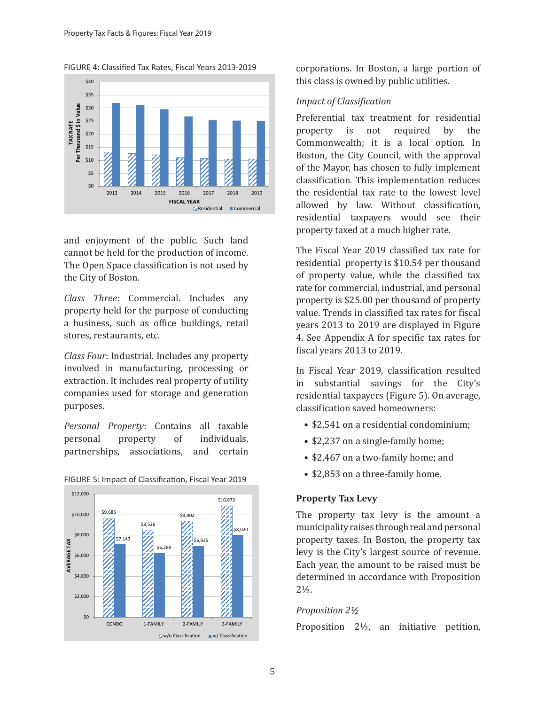FIGURE 4: Classified Tax Rates, Fiscal Years 2013-2019



and enjoyment of the public. Such land cannot be held for the production of income. The Open Space classification is not used by the City of Boston.

*Class Three*: Commercial. Includes any property held for the purpose of conducting a business, such as office buildings, retail stores, restaurants, etc.

*Class Four*: Industrial. Includes any property involved in manufacturing, processing or extraction. It includes real property of utility companies used for storage and generation purposes.

*Personal Property*: Contains all taxable personal property of individuals, partnerships, associations, and certain



#### FIGURE 5: Impact of Classification, Fiscal Year 2019

corporations. In Boston, a large portion of this class is owned by public utilities.

## *Impact of Classification*

Preferential tax treatment for residential property is not required by the Commonwealth; it is a local option. In Boston, the City Council, with the approval of the Mayor, has chosen to fully implement classification. This implementation reduces the residential tax rate to the lowest level allowed by law. Without classification, residential taxpayers would see their property taxed at a much higher rate.

The Fiscal Year 2019 classified tax rate for residential property is \$10.54 per thousand of property value, while the classified tax rate for commercial, industrial, and personal property is \$25.00 per thousand of property value. Trends in classified tax rates for fiscal years 2013 to 2019 are displayed in Figure 4. See Appendix A for specific tax rates for fiscal years 2013 to 2019.

In Fiscal Year 2019, classification resulted in substantial savings for the City's residential taxpayers (Figure 5). On average, classification saved homeowners:

- \$2,541 on a residential condominium;
- \$2,237 on a single-family home;
- \$2,467 on a two-family home; and
- \$2,853 on a three-family home.

## **Property Tax Levy**

The property tax levy is the amount a municipality raises through real and personal property taxes. In Boston, the property tax levy is the City's largest source of revenue. Each year, the amount to be raised must be determined in accordance with Proposition 2½.

## *Proposition 2½*

Proposition 2½, an initiative petition,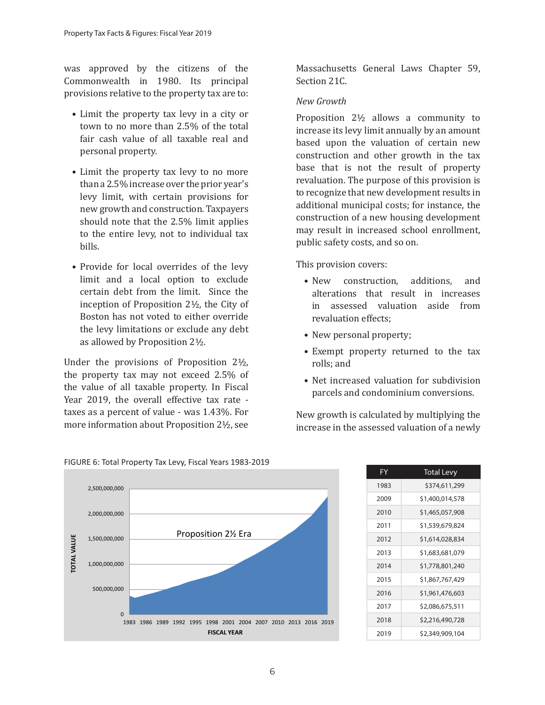was approved by the citizens of the Commonwealth in 1980. Its principal provisions relative to the property tax are to:

- Limit the property tax levy in a city or town to no more than 2.5% of the total fair cash value of all taxable real and personal property.
- Limit the property tax levy to no more than a 2.5% increase over the prior year's levy limit, with certain provisions for new growth and construction. Taxpayers should note that the 2.5% limit applies to the entire levy, not to individual tax bills.
- Provide for local overrides of the levy limit and a local option to exclude certain debt from the limit. Since the inception of Proposition 2½, the City of Boston has not voted to either override the levy limitations or exclude any debt as allowed by Proposition 2½.

Under the provisions of Proposition 2½, the property tax may not exceed 2.5% of the value of all taxable property. In Fiscal Year 2019, the overall effective tax rate taxes as a percent of value - was 1.43%. For more information about Proposition 2½, see

Massachusetts General Laws Chapter 59, Section 21C.

### *New Growth*

Proposition 2½ allows a community to increase its levy limit annually by an amount based upon the valuation of certain new construction and other growth in the tax base that is not the result of property revaluation. The purpose of this provision is to recognize that new development results in additional municipal costs; for instance, the construction of a new housing development may result in increased school enrollment, public safety costs, and so on.

This provision covers:

- New construction, additions, and alterations that result in increases in assessed valuation aside from revaluation effects;
- New personal property;
- Exempt property returned to the tax rolls; and
- Net increased valuation for subdivision parcels and condominium conversions.

New growth is calculated by multiplying the increase in the assessed valuation of a newly





2019 \$2,349,909,104

#### FIGURE 6: Total Property Tax Levy, Fiscal Years 1983-2019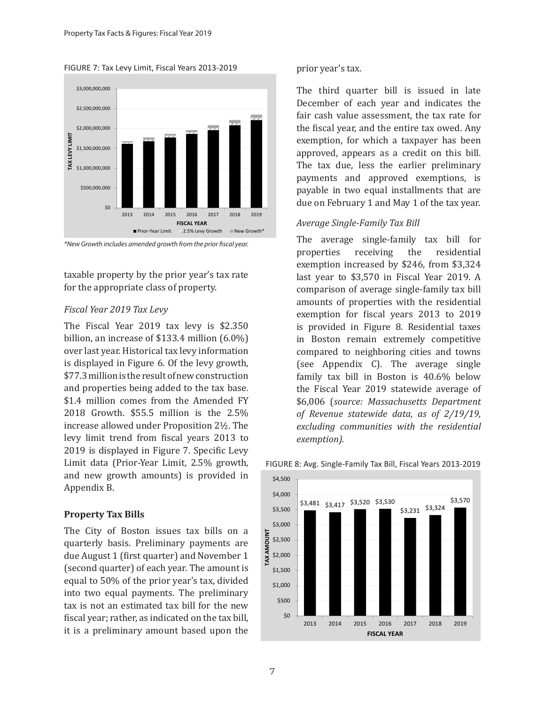FIGURE 7: Tax Levy Limit, Fiscal Years 2013-2019



*\*New Growth includes amended growth from the prior fiscal year.*

taxable property by the prior year's tax rate for the appropriate class of property.

#### *Fiscal Year 2019 Tax Levy*

The Fiscal Year 2019 tax levy is \$2.350 billion, an increase of \$133.4 million (6.0%) over last year. Historical tax levy information is displayed in Figure 6. Of the levy growth, \$77.3 million is the result of new construction and properties being added to the tax base. \$1.4 million comes from the Amended FY 2018 Growth. \$55.5 million is the 2.5% increase allowed under Proposition 2½. The levy limit trend from fiscal years 2013 to 2019 is displayed in Figure 7. Specific Levy Limit data (Prior-Year Limit, 2.5% growth, and new growth amounts) is provided in Appendix B.

#### **Property Tax Bills**

The City of Boston issues tax bills on a quarterly basis. Preliminary payments are due August 1 (first quarter) and November 1 (second quarter) of each year. The amount is equal to 50% of the prior year's tax, divided into two equal payments. The preliminary tax is not an estimated tax bill for the new fiscal year; rather, as indicated on the tax bill, it is a preliminary amount based upon the

#### prior year's tax.

The third quarter bill is issued in late December of each year and indicates the fair cash value assessment, the tax rate for the fiscal year, and the entire tax owed. Any exemption, for which a taxpayer has been approved, appears as a credit on this bill. The tax due, less the earlier preliminary payments and approved exemptions, is payable in two equal installments that are due on February 1 and May 1 of the tax year.

#### *Average Single-Family Tax Bill*

The average single-family tax bill for<br>properties receiving the residential properties receiving the exemption increased by \$246, from \$3,324 last year to \$3,570 in Fiscal Year 2019. A comparison of average single-family tax bill amounts of properties with the residential exemption for fiscal years 2013 to 2019 is provided in Figure 8. Residential taxes in Boston remain extremely competitive compared to neighboring cities and towns (see Appendix C). The average single family tax bill in Boston is 40.6% below the Fiscal Year 2019 statewide average of \$6,006 (*source: Massachusetts Department of Revenue statewide data, as of 2/19/19, excluding communities with the residential exemption).*



#### FIGURE 8: Avg. Single-Family Tax Bill, Fiscal Years 2013-2019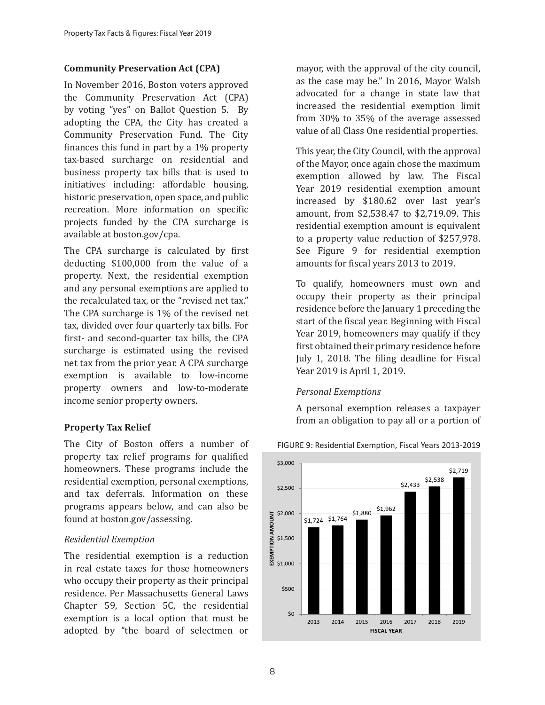## **Community Preservation Act (CPA)**

In November 2016, Boston voters approved the Community Preservation Act (CPA) by voting "yes" on Ballot Question 5. By adopting the CPA, the City has created a Community Preservation Fund. The City finances this fund in part by a 1% property tax-based surcharge on residential and business property tax bills that is used to initiatives including: affordable housing, historic preservation, open space, and public recreation. More information on specific projects funded by the CPA surcharge is available at boston.gov/cpa.

The CPA surcharge is calculated by first deducting \$100,000 from the value of a property. Next, the residential exemption and any personal exemptions are applied to the recalculated tax, or the "revised net tax." The CPA surcharge is 1% of the revised net tax, divided over four quarterly tax bills. For first- and second-quarter tax bills, the CPA surcharge is estimated using the revised net tax from the prior year. A CPA surcharge exemption is available to low-income property owners and low-to-moderate income senior property owners.

## **Property Tax Relief**

The City of Boston offers a number of property tax relief programs for qualified homeowners. These programs include the residential exemption, personal exemptions, and tax deferrals. Information on these programs appears below, and can also be found at boston.gov/assessing.

## *Residential Exemption*

The residential exemption is a reduction in real estate taxes for those homeowners who occupy their property as their principal residence. Per Massachusetts General Laws Chapter 59, Section 5C, the residential exemption is a local option that must be adopted by "the board of selectmen or mayor, with the approval of the city council, as the case may be." In 2016, Mayor Walsh advocated for a change in state law that increased the residential exemption limit from 30% to 35% of the average assessed value of all Class One residential properties.

This year, the City Council, with the approval of the Mayor, once again chose the maximum exemption allowed by law. The Fiscal Year 2019 residential exemption amount increased by \$180.62 over last year's amount, from \$2,538.47 to \$2,719.09. This residential exemption amount is equivalent to a property value reduction of \$257,978. See Figure 9 for residential exemption amounts for fiscal years 2013 to 2019.

To qualify, homeowners must own and occupy their property as their principal residence before the January 1 preceding the start of the fiscal year. Beginning with Fiscal Year 2019, homeowners may qualify if they first obtained their primary residence before July 1, 2018. The filing deadline for Fiscal Year 2019 is April 1, 2019.

## *Personal Exemptions*

A personal exemption releases a taxpayer from an obligation to pay all or a portion of



FIGURE 9: Residential Exemption, Fiscal Years 2013-2019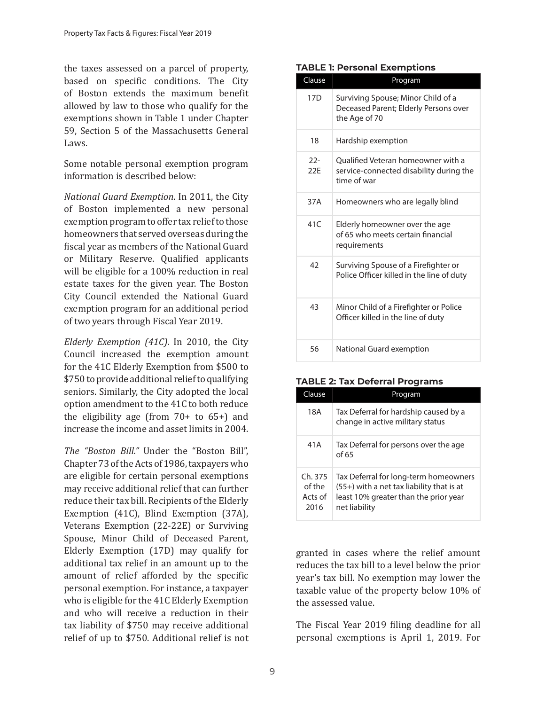the taxes assessed on a parcel of property, based on specific conditions. The City of Boston extends the maximum benefit allowed by law to those who qualify for the exemptions shown in Table 1 under Chapter 59, Section 5 of the Massachusetts General Laws.

Some notable personal exemption program information is described below:

*National Guard Exemption*. In 2011, the City of Boston implemented a new personal exemption program to offer tax relief to those homeowners that served overseas during the fiscal year as members of the National Guard or Military Reserve. Qualified applicants will be eligible for a 100% reduction in real estate taxes for the given year. The Boston City Council extended the National Guard exemption program for an additional period of two years through Fiscal Year 2019.

*Elderly Exemption (41C)*. In 2010, the City Council increased the exemption amount for the 41C Elderly Exemption from \$500 to \$750 to provide additional relief to qualifying seniors. Similarly, the City adopted the local option amendment to the 41C to both reduce the eligibility age (from  $70+$  to  $65+$ ) and increase the income and asset limits in 2004.

*The "Boston Bill."* Under the "Boston Bill", Chapter 73 of the Acts of 1986, taxpayers who are eligible for certain personal exemptions may receive additional relief that can further reduce their tax bill. Recipients of the Elderly Exemption (41C), Blind Exemption (37A), Veterans Exemption (22-22E) or Surviving Spouse, Minor Child of Deceased Parent, Elderly Exemption (17D) may qualify for additional tax relief in an amount up to the amount of relief afforded by the specific personal exemption. For instance, a taxpayer who is eligible for the 41C Elderly Exemption and who will receive a reduction in their tax liability of \$750 may receive additional relief of up to \$750. Additional relief is not

#### **TABLE 1: Personal Exemptions**

| Clause          | Program                                                                                      |
|-----------------|----------------------------------------------------------------------------------------------|
| 17 <sub>D</sub> | Surviving Spouse; Minor Child of a<br>Deceased Parent; Elderly Persons over<br>the Age of 70 |
| 18              | Hardship exemption                                                                           |
| $22 -$<br>22F   | Oualified Veteran homeowner with a<br>service-connected disability during the<br>time of war |
| 37A             | Homeowners who are legally blind                                                             |
| 41C             | Elderly homeowner over the age<br>of 65 who meets certain financial<br>requirements          |
| 42              | Surviving Spouse of a Firefighter or<br>Police Officer killed in the line of duty            |
| 43              | Minor Child of a Firefighter or Police<br>Officer killed in the line of duty                 |
| 56              | National Guard exemption                                                                     |

#### **TABLE 2: Tax Deferral Programs**

| Clause                              | Program                                                                                                                                        |
|-------------------------------------|------------------------------------------------------------------------------------------------------------------------------------------------|
| 18A                                 | Tax Deferral for hardship caused by a<br>change in active military status                                                                      |
| 41A                                 | Tax Deferral for persons over the age<br>of 65                                                                                                 |
| Ch.375<br>of the<br>Acts of<br>2016 | Tax Deferral for long-term homeowners<br>$(55+)$ with a net tax liability that is at<br>least 10% greater than the prior year<br>net liability |

granted in cases where the relief amount reduces the tax bill to a level below the prior year's tax bill. No exemption may lower the taxable value of the property below 10% of the assessed value.

The Fiscal Year 2019 filing deadline for all personal exemptions is April 1, 2019. For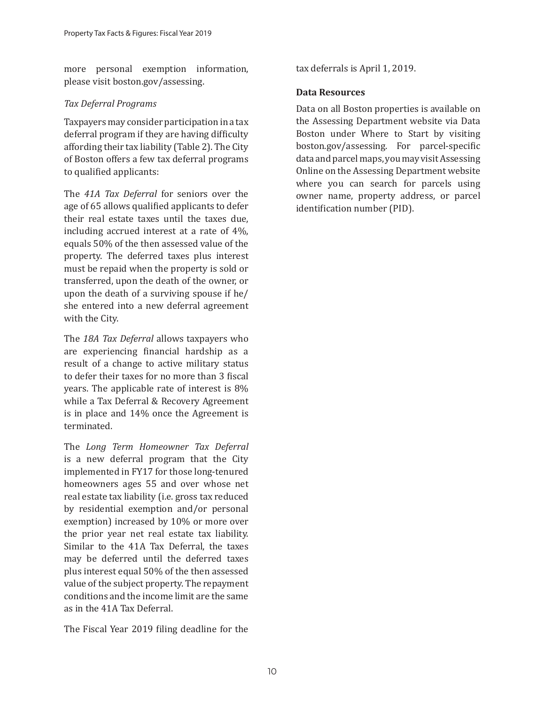more personal exemption information, please visit boston.gov/assessing.

## *Tax Deferral Programs*

Taxpayers may consider participation in a tax deferral program if they are having difficulty affording their tax liability (Table 2). The City of Boston offers a few tax deferral programs to qualified applicants:

The *41A Tax Deferral* for seniors over the age of 65 allows qualified applicants to defer their real estate taxes until the taxes due, including accrued interest at a rate of 4%, equals 50% of the then assessed value of the property. The deferred taxes plus interest must be repaid when the property is sold or transferred, upon the death of the owner, or upon the death of a surviving spouse if he/ she entered into a new deferral agreement with the City.

The *18A Tax Deferral* allows taxpayers who are experiencing financial hardship as a result of a change to active military status to defer their taxes for no more than 3 fiscal years. The applicable rate of interest is 8% while a Tax Deferral & Recovery Agreement is in place and 14% once the Agreement is terminated.

The *Long Term Homeowner Tax Deferral* is a new deferral program that the City implemented in FY17 for those long-tenured homeowners ages 55 and over whose net real estate tax liability (i.e. gross tax reduced by residential exemption and/or personal exemption) increased by 10% or more over the prior year net real estate tax liability. Similar to the 41A Tax Deferral, the taxes may be deferred until the deferred taxes plus interest equal 50% of the then assessed value of the subject property. The repayment conditions and the income limit are the same as in the 41A Tax Deferral.

The Fiscal Year 2019 filing deadline for the

tax deferrals is April 1, 2019.

## **Data Resources**

Data on all Boston properties is available on the Assessing Department website via Data Boston under Where to Start by visiting boston.gov/assessing. For parcel-specific data and parcel maps, you may visit Assessing Online on the Assessing Department website where you can search for parcels using owner name, property address, or parcel identification number (PID).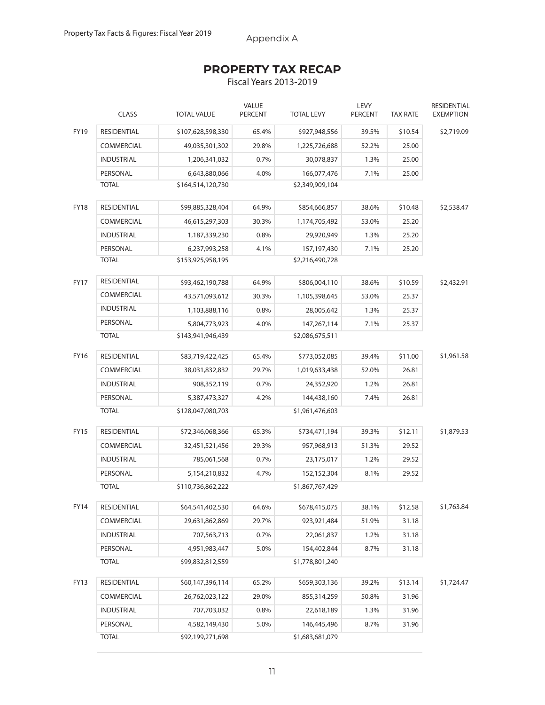Appendix A

# **PROPERTY TAX RECAP**

Fiscal Years 2013-2019

|             | <b>CLASS</b>       | <b>TOTAL VALUE</b> | <b>VALUE</b><br><b>PERCENT</b> | <b>TOTAL LEVY</b> | LEVY<br><b>PERCENT</b> | <b>TAX RATE</b> | RESIDENTIAL<br><b>EXEMPTION</b> |
|-------------|--------------------|--------------------|--------------------------------|-------------------|------------------------|-----------------|---------------------------------|
| FY19        | <b>RESIDENTIAL</b> | \$107,628,598,330  | 65.4%                          | \$927,948,556     | 39.5%                  | \$10.54         | \$2,719.09                      |
|             | <b>COMMERCIAL</b>  | 49,035,301,302     | 29.8%                          | 1,225,726,688     | 52.2%                  | 25.00           |                                 |
|             | <b>INDUSTRIAL</b>  | 1,206,341,032      | 0.7%                           | 30,078,837        | 1.3%                   | 25.00           |                                 |
|             | PERSONAL           | 6,643,880,066      | 4.0%                           | 166,077,476       | 7.1%                   | 25.00           |                                 |
|             | <b>TOTAL</b>       | \$164,514,120,730  |                                | \$2,349,909,104   |                        |                 |                                 |
| <b>FY18</b> | RESIDENTIAL        | \$99,885,328,404   | 64.9%                          | \$854,666,857     | 38.6%                  | \$10.48         | \$2,538.47                      |
|             | <b>COMMERCIAL</b>  | 46,615,297,303     | 30.3%                          | 1,174,705,492     | 53.0%                  | 25.20           |                                 |
|             | <b>INDUSTRIAL</b>  | 1,187,339,230      | 0.8%                           | 29,920,949        | 1.3%                   | 25.20           |                                 |
|             | PERSONAL           | 6,237,993,258      | 4.1%                           | 157,197,430       | 7.1%                   | 25.20           |                                 |
|             | <b>TOTAL</b>       | \$153,925,958,195  |                                | \$2,216,490,728   |                        |                 |                                 |
| <b>FY17</b> | <b>RESIDENTIAL</b> | \$93,462,190,788   | 64.9%                          | \$806,004,110     | 38.6%                  | \$10.59         | \$2,432.91                      |
|             | COMMERCIAL         | 43,571,093,612     | 30.3%                          | 1,105,398,645     | 53.0%                  | 25.37           |                                 |
|             | <b>INDUSTRIAL</b>  | 1,103,888,116      | 0.8%                           | 28,005,642        | 1.3%                   | 25.37           |                                 |
|             | PERSONAL           | 5,804,773,923      | 4.0%                           | 147,267,114       | 7.1%                   | 25.37           |                                 |
|             | <b>TOTAL</b>       | \$143,941,946,439  |                                | \$2,086,675,511   |                        |                 |                                 |
| <b>FY16</b> | RESIDENTIAL        | \$83,719,422,425   | 65.4%                          | \$773,052,085     | 39.4%                  | \$11.00         | \$1,961.58                      |
|             | COMMERCIAL         | 38,031,832,832     | 29.7%                          | 1,019,633,438     | 52.0%                  | 26.81           |                                 |
|             | <b>INDUSTRIAL</b>  | 908,352,119        | 0.7%                           | 24,352,920        | 1.2%                   | 26.81           |                                 |
|             | PERSONAL           | 5,387,473,327      | 4.2%                           | 144,438,160       | 7.4%                   | 26.81           |                                 |
|             | <b>TOTAL</b>       | \$128,047,080,703  |                                | \$1,961,476,603   |                        |                 |                                 |
| <b>FY15</b> | RESIDENTIAL        | \$72,346,068,366   | 65.3%                          | \$734,471,194     | 39.3%                  | \$12.11         | \$1,879.53                      |
|             | COMMERCIAL         | 32,451,521,456     | 29.3%                          | 957,968,913       | 51.3%                  | 29.52           |                                 |
|             | <b>INDUSTRIAL</b>  | 785,061,568        | 0.7%                           | 23,175,017        | 1.2%                   | 29.52           |                                 |
|             | PERSONAL           | 5,154,210,832      | 4.7%                           | 152,152,304       | 8.1%                   | 29.52           |                                 |
|             | <b>TOTAL</b>       | \$110,736,862,222  |                                | \$1,867,767,429   |                        |                 |                                 |
| FY14        | RESIDENTIAL        | \$64,541,402,530   | 64.6%                          | \$678,415,075     | 38.1%                  | \$12.58         | \$1,763.84                      |
|             | COMMERCIAL         | 29,631,862,869     | 29.7%                          | 923,921,484       | 51.9%                  | 31.18           |                                 |
|             | <b>INDUSTRIAL</b>  | 707,563,713        | 0.7%                           | 22,061,837        | 1.2%                   | 31.18           |                                 |
|             | PERSONAL           | 4,951,983,447      | 5.0%                           | 154,402,844       | 8.7%                   | 31.18           |                                 |
|             | <b>TOTAL</b>       | \$99,832,812,559   |                                | \$1,778,801,240   |                        |                 |                                 |
| FY13        | RESIDENTIAL        | \$60,147,396,114   | 65.2%                          | \$659,303,136     | 39.2%                  | \$13.14         | \$1,724.47                      |
|             | COMMERCIAL         | 26,762,023,122     | 29.0%                          | 855,314,259       | 50.8%                  | 31.96           |                                 |
|             | <b>INDUSTRIAL</b>  | 707,703,032        | 0.8%                           | 22,618,189        | 1.3%                   | 31.96           |                                 |
|             | PERSONAL           | 4,582,149,430      | 5.0%                           | 146,445,496       | 8.7%                   | 31.96           |                                 |
|             | <b>TOTAL</b>       | \$92,199,271,698   |                                | \$1,683,681,079   |                        |                 |                                 |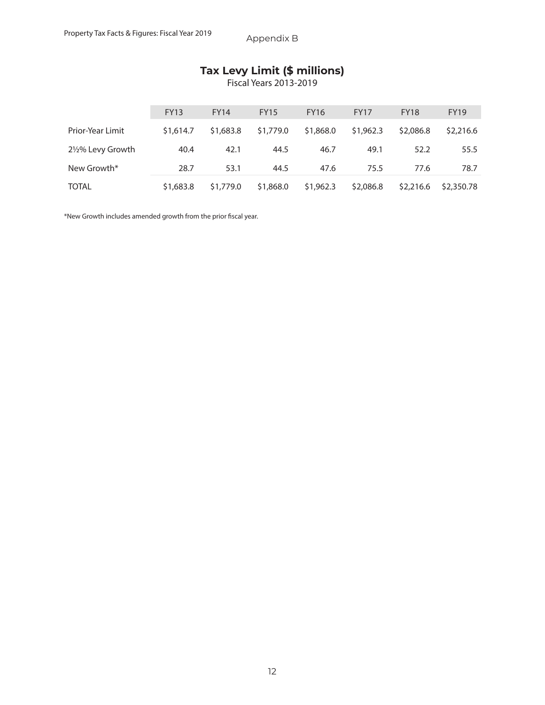## **Tax Levy Limit (\$ millions)**

Fiscal Years 2013-2019

|                  | <b>FY13</b> | <b>FY14</b> | <b>FY15</b> | <b>FY16</b> | <b>FY17</b> | <b>FY18</b> | <b>FY19</b> |
|------------------|-------------|-------------|-------------|-------------|-------------|-------------|-------------|
| Prior-Year Limit | \$1,614.7   | \$1,683.8   | \$1,779.0   | \$1,868.0   | \$1,962.3   | \$2,086.8   | \$2,216.6   |
| 2½% Levy Growth  | 40.4        | 42.1        | 44.5        | 46.7        | 49.1        | 52.2        | 55.5        |
| New Growth*      | 28.7        | 53.1        | 44.5        | 47.6        | 75.5        | 77.6        | 78.7        |
| <b>TOTAL</b>     | \$1,683.8   | \$1,779.0   | \$1,868.0   | \$1,962.3   | \$2,086.8   | \$2,216.6   | \$2,350.78  |

\*New Growth includes amended growth from the prior fiscal year.